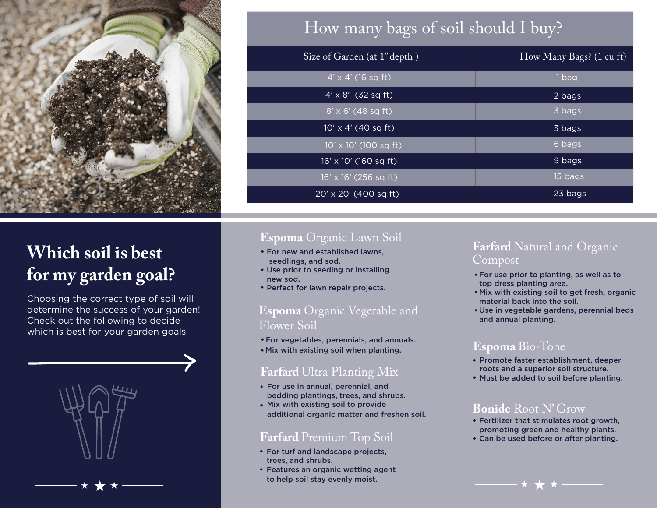

# How many bags of soil should I buy?

| Size of Garden (at 1" depth) | How Many Bags? (1 cu ft) |
|------------------------------|--------------------------|
| $4' \times 4'$ (16 sq ft)    | 1 bag                    |
| $4' \times 8'$ (32 sq ft)    | 2 bags                   |
| $8' \times 6'$ (48 sq ft)    | 3 bags                   |
| $10' \times 4'$ (40 sq ft)   | 3 bags                   |
| $10' \times 10'$ (100 sq ft) | 6 bags                   |
| 16' x 10' (160 sq ft)        | 9 bags                   |
| $16' \times 16'$ (256 sq ft) | 15 bags                  |
| 20' x 20' (400 sq ft)        | 23 bags                  |

# **Which soil is best for my garden goal?**

Choosing the correct type of soil will determine the success of your garden! Check out the following to decide which is best for your garden goals.



### **Espoma** Organic Lawn Soil

- For new and established lawns, seedlings, and sod.
- Use prior to seeding or installing new sod.
- **Perfect for lawn repair projects.**

### **Espoma** Organic Vegetable and Flower Soil

- For vegetables, perennials, and annuals.
- Mix with existing soil when planting.

### **Farfard** Ultra Planting Mix

- For use in annual, perennial, and bedding plantings, trees, and shrubs.
- Mix with existing soil to provide additional organic matter and freshen soil.

#### **Farfard** Premium Top Soil

- For turf and landscape projects, trees, and shrubs.
- Features an organic wetting agent to help soil stay evenly moist.

#### **Farfard** Natural and Organic Compost

- For use prior to planting, as well as to top dress planting area.
- Mix with existing soil to get fresh, organic material back into the soil.
- Use in vegetable gardens, perennial beds and annual planting.

### **Espoma** Bio-Tone

- Promote faster establishment, deeper roots and a superior soil structure.
- Must be added to soil before planting.

#### **Bonide** Root N' Grow

- Fertilizer that stimulates root growth, promoting green and healthy plants.
- Can be used before or after planting.